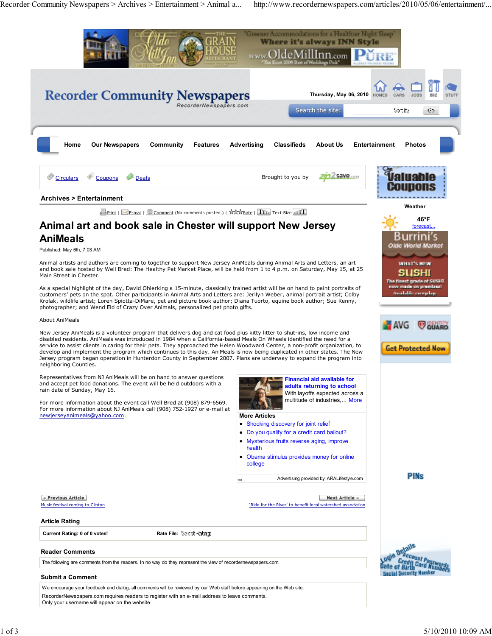Recorder Community Newspapers > Archives > Entertainment > Animal a... http://www.recordernewspapers.com/articles/2010/05/06/entertainment/...

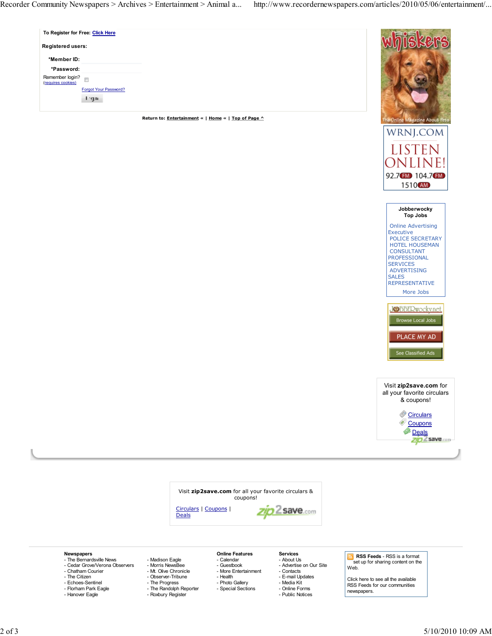| To Register for Free: Click Here                        |                                                     |      |
|---------------------------------------------------------|-----------------------------------------------------|------|
| <b>Registered users:</b>                                |                                                     |      |
| *Member ID:                                             |                                                     |      |
| *Password:                                              |                                                     |      |
| Remember login?<br>$\overline{a}$<br>(requires cookies) |                                                     |      |
| Forgot Your Password?                                   |                                                     |      |
| it ng m                                                 |                                                     |      |
|                                                         |                                                     |      |
|                                                         | Return to: Entertainment «   Home «   Top of Page ^ | -Onl |









- **Newspapers** The Bernardsville News
- Cedar Grove/Verona Observers Chatham Courier
- The Citizen
- 
- Echoes-Sentinel - Florham Park Eagle
- Hanover Eagle

- Guestbook
- Morris NewsBee Mt. Olive Chronicle
- Observer-Tribune - The Progress
	-
- The Randolph Reporter Roxbury Register

- Madison Eagle

## **Online Features** - Calendar

- More Entertainment
- Health
- Photo Gallery
	- Special Sections

## **Services** - About Us

- Advertise on Our Site
- Contacts
- E-mail Updates
- 
- Media Kit - Online Forms
- Public Notices

 **RSS Feeds** - RSS is a format set up for sharing content on the Web.

Click here to see all the available RSS Feeds for our communities newspapers.